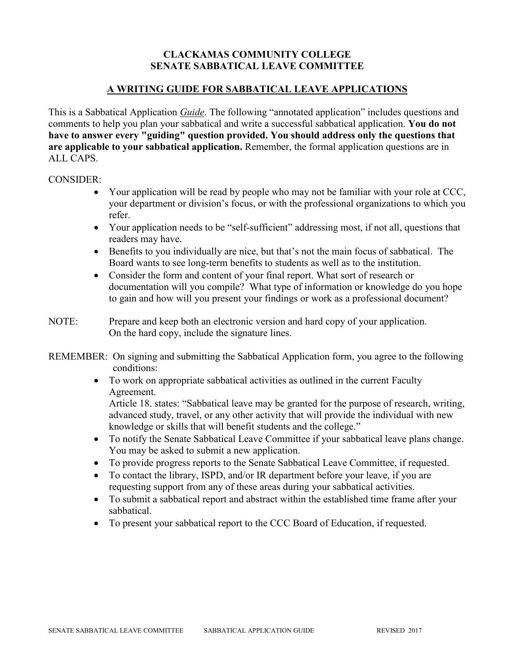### **CLACKAMAS COMMUNITY COLLEGE SENATE SABBATICAL LEAVE COMMITTEE**

### **A WRITING GUIDE FOR SABBATICAL LEAVE APPLICATIONS**

This is a Sabbatical Application *Guide*. The following "annotated application" includes questions and comments to help you plan your sabbatical and write a successful sabbatical application. **You do not have to answer every "guiding" question provided. You should address only the questions that are applicable to your sabbatical application.** Remember, the formal application questions are in ALL CAPS.

#### CONSIDER:

- Your application will be read by people who may not be familiar with your role at CCC, your department or division's focus, or with the professional organizations to which you refer.
- Your application needs to be "self-sufficient" addressing most, if not all, questions that readers may have.
- Benefits to you individually are nice, but that's not the main focus of sabbatical. The Board wants to see long-term benefits to students as well as to the institution.
- Consider the form and content of your final report. What sort of research or documentation will you compile? What type of information or knowledge do you hope to gain and how will you present your findings or work as a professional document?
- NOTE: Prepare and keep both an electronic version and hard copy of your application. On the hard copy, include the signature lines.
- REMEMBER: On signing and submitting the Sabbatical Application form, you agree to the following conditions:
	- To work on appropriate sabbatical activities as outlined in the current Faculty Agreement.

Article 18. states: "Sabbatical leave may be granted for the purpose of research, writing, advanced study, travel, or any other activity that will provide the individual with new knowledge or skills that will benefit students and the college."

- To notify the Senate Sabbatical Leave Committee if your sabbatical leave plans change. You may be asked to submit a new application.
- To provide progress reports to the Senate Sabbatical Leave Committee, if requested.
- To contact the library, ISPD, and/or IR department before your leave, if you are requesting support from any of these areas during your sabbatical activities.
- To submit a sabbatical report and abstract within the established time frame after your sabbatical.
- To present your sabbatical report to the CCC Board of Education, if requested.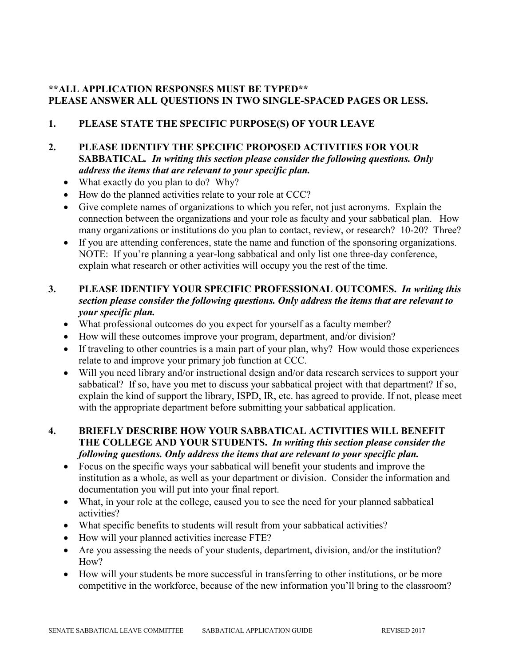# **\*\*ALL APPLICATION RESPONSES MUST BE TYPED\*\* PLEASE ANSWER ALL QUESTIONS IN TWO SINGLE-SPACED PAGES OR LESS.**

# **1. PLEASE STATE THE SPECIFIC PURPOSE(S) OF YOUR LEAVE**

### **2. PLEASE IDENTIFY THE SPECIFIC PROPOSED ACTIVITIES FOR YOUR SABBATICAL***. In writing this section please consider the following questions. Only address the items that are relevant to your specific plan.*

- What exactly do you plan to do? Why?
- How do the planned activities relate to your role at CCC?
- Give complete names of organizations to which you refer, not just acronyms. Explain the connection between the organizations and your role as faculty and your sabbatical plan. How many organizations or institutions do you plan to contact, review, or research? 10-20? Three?
- If you are attending conferences, state the name and function of the sponsoring organizations. NOTE: If you're planning a year-long sabbatical and only list one three-day conference, explain what research or other activities will occupy you the rest of the time.

# **3. PLEASE IDENTIFY YOUR SPECIFIC PROFESSIONAL OUTCOMES.** *In writing this section please consider the following questions. Only address the items that are relevant to your specific plan.*

- What professional outcomes do you expect for yourself as a faculty member?
- How will these outcomes improve your program, department, and/or division?
- If traveling to other countries is a main part of your plan, why? How would those experiences relate to and improve your primary job function at CCC.
- Will you need library and/or instructional design and/or data research services to support your sabbatical? If so, have you met to discuss your sabbatical project with that department? If so, explain the kind of support the library, ISPD, IR, etc. has agreed to provide. If not, please meet with the appropriate department before submitting your sabbatical application.

# **4. BRIEFLY DESCRIBE HOW YOUR SABBATICAL ACTIVITIES WILL BENEFIT THE COLLEGE AND YOUR STUDENTS.** *In writing this section please consider the following questions. Only address the items that are relevant to your specific plan.*

- Focus on the specific ways your sabbatical will benefit your students and improve the institution as a whole, as well as your department or division. Consider the information and documentation you will put into your final report.
- What, in your role at the college, caused you to see the need for your planned sabbatical activities?
- What specific benefits to students will result from your sabbatical activities?
- How will your planned activities increase FTE?
- Are you assessing the needs of your students, department, division, and/or the institution? How?
- How will your students be more successful in transferring to other institutions, or be more competitive in the workforce, because of the new information you'll bring to the classroom?